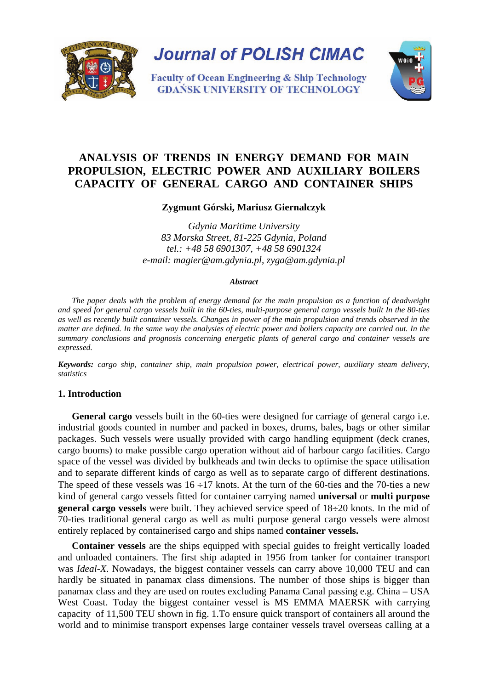

# **ANALYSIS OF TRENDS IN ENERGY DEMAND FOR MAIN PROPULSION, ELECTRIC POWER AND AUXILIARY BOILERS CAPACITY OF GENERAL CARGO AND CONTAINER SHIPS**

# **Zygmunt Górski, Mariusz Giernalczyk**

*Gdynia Maritime University 83 Morska Street, 81-225 Gdynia, Poland tel.: +48 58 6901307, +48 58 6901324 e-mail: magier@am.gdynia.pl, zyga@am.gdynia.pl* 

#### *Abstract*

*The paper deals with the problem of energy demand for the main propulsion as a function of deadweight and speed for general cargo vessels built in the 60-ties, multi-purpose general cargo vessels built In the 80-ties as well as recently built container vessels. Changes in power of the main propulsion and trends observed in the matter are defined. In the same way the analysies of electric power and boilers capacity are carried out. In the summary conclusions and prognosis concerning energetic plants of general cargo and container vessels are expressed.* 

*Keywords: cargo ship, container ship, main propulsion power, electrical power, auxiliary steam delivery, statistics*

#### **1. Introduction**

**General cargo** vessels built in the 60-ties were designed for carriage of general cargo i.e. industrial goods counted in number and packed in boxes, drums, bales, bags or other similar packages. Such vessels were usually provided with cargo handling equipment (deck cranes, cargo booms) to make possible cargo operation without aid of harbour cargo facilities. Cargo space of the vessel was divided by bulkheads and twin decks to optimise the space utilisation and to separate different kinds of cargo as well as to separate cargo of different destinations. The speed of these vessels was  $16 \div 17$  knots. At the turn of the 60-ties and the 70-ties a new kind of general cargo vessels fitted for container carrying named **universal** or **multi purpose general cargo vessels** were built. They achieved service speed of  $18\div 20$  knots. In the mid of 70-ties traditional general cargo as well as multi purpose general cargo vessels were almost entirely replaced by containerised cargo and ships named **container vessels.** 

**Container vessels** are the ships equipped with special guides to freight vertically loaded and unloaded containers. The first ship adapted in 1956 from tanker for container transport was *Ideal-X*. Nowadays, the biggest container vessels can carry above 10,000 TEU and can hardly be situated in panamax class dimensions. The number of those ships is bigger than panamax class and they are used on routes excluding Panama Canal passing e.g. China – USA West Coast. Today the biggest container vessel is MS EMMA MAERSK with carrying capacity of 11,500 TEU shown in fig. 1.To ensure quick transport of containers all around the world and to minimise transport expenses large container vessels travel overseas calling at a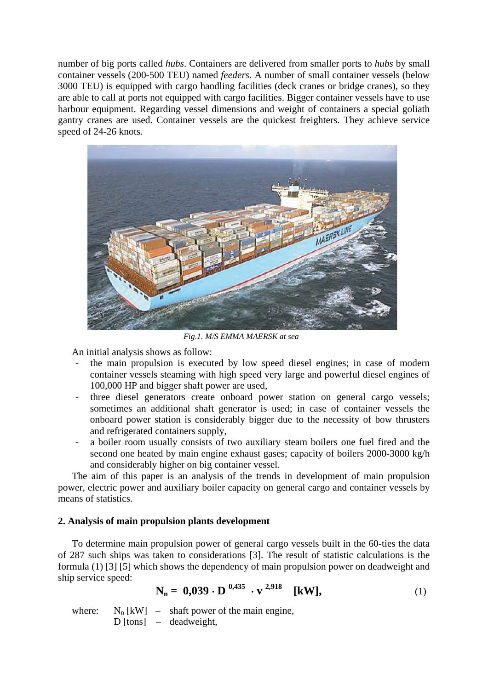number of big ports called *hubs*. Containers are delivered from smaller ports to *hubs* by small container vessels (200-500 TEU) named *feeders*. A number of small container vessels (below 3000 TEU) is equipped with cargo handling facilities (deck cranes or bridge cranes), so they are able to call at ports not equipped with cargo facilities. Bigger container vessels have to use harbour equipment. Regarding vessel dimensions and weight of containers a special goliath gantry cranes are used. Container vessels are the quickest freighters. They achieve service speed of 24-26 knots.



*Fig.1. M/S EMMA MAERSK at sea*

An initial analysis shows as follow:

- the main propulsion is executed by low speed diesel engines; in case of modern container vessels steaming with high speed very large and powerful diesel engines of 100,000 HP and bigger shaft power are used,
- three diesel generators create onboard power station on general cargo vessels; sometimes an additional shaft generator is used; in case of container vessels the onboard power station is considerably bigger due to the necessity of bow thrusters and refrigerated containers supply,
- a boiler room usually consists of two auxiliary steam boilers one fuel fired and the second one heated by main engine exhaust gases; capacity of boilers 2000-3000 kg/h and considerably higher on big container vessel.

The aim of this paper is an analysis of the trends in development of main propulsion power, electric power and auxiliary boiler capacity on general cargo and container vessels by means of statistics.

# **2. Analysis of main propulsion plants development**

To determine main propulsion power of general cargo vessels built in the 60-ties the data of 287 such ships was taken to considerations [3]. The result of statistic calculations is the formula (1) [3] [5] which shows the dependency of main propulsion power on deadweight and ship service speed:

$$
N_n = 0,039 \cdot D^{-0,435} \cdot v^{-2,918} \quad [kW], \tag{1}
$$

where:  $N_n$  [kW] – shaft power of the main engine, D [tons] – deadweight,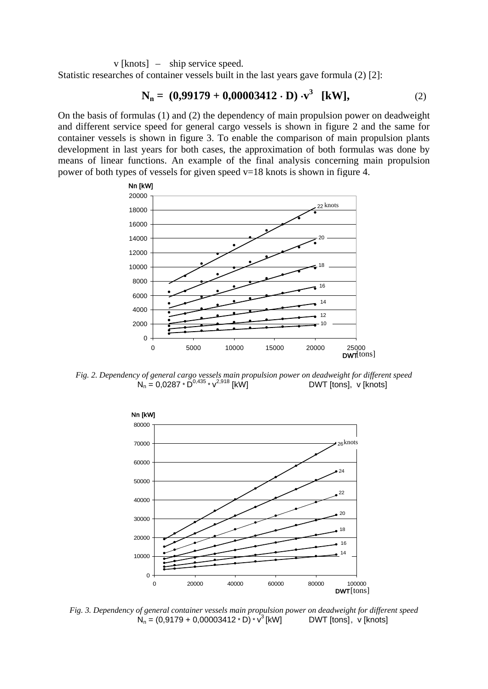v [knots] – ship service speed.

Statistic researches of container vessels built in the last years gave formula (2) [2]:

$$
N_n = (0,99179 + 0,00003412 \cdot D) \cdot v^3 \quad [kW], \tag{2}
$$

On the basis of formulas (1) and (2) the dependency of main propulsion power on deadweight and different service speed for general cargo vessels is shown in figure 2 and the same for container vessels is shown in figure 3. To enable the comparison of main propulsion plants development in last years for both cases, the approximation of both formulas was done by means of linear functions. An example of the final analysis concerning main propulsion power of both types of vessels for given speed  $v=18$  knots is shown in figure 4.



*Fig. 2. Dependency of general cargo vessels main propulsion power on deadweight for different speed*  $N_n = 0.0287 \cdot \bar{D}^{0.435} \cdot V^{2.918}$  [kW] DWT [tons], v [knots]



*Fig. 3. Dependency of general container vessels main propulsion power on deadweight for different speed*  $N_n = (0.9179 + 0.00003412 \cdot D) \cdot v^3$  [kW] DWT [tons], v [knots]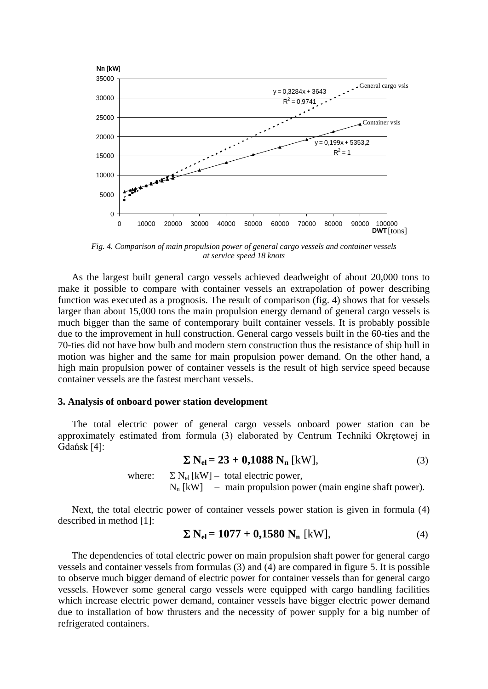

*Fig. 4. Comparison of main propulsion power of general cargo vessels and container vessels at service speed 18 knots*

As the largest built general cargo vessels achieved deadweight of about 20,000 tons to make it possible to compare with container vessels an extrapolation of power describing function was executed as a prognosis. The result of comparison (fig. 4) shows that for vessels larger than about 15,000 tons the main propulsion energy demand of general cargo vessels is much bigger than the same of contemporary built container vessels. It is probably possible due to the improvement in hull construction. General cargo vessels built in the 60-ties and the 70-ties did not have bow bulb and modern stern construction thus the resistance of ship hull in motion was higher and the same for main propulsion power demand. On the other hand, a high main propulsion power of container vessels is the result of high service speed because container vessels are the fastest merchant vessels.

#### **3. Analysis of onboard power station development**

The total electric power of general cargo vessels onboard power station can be approximately estimated from formula (3) elaborated by Centrum Techniki Okrętowej in Gdańsk [4]:

 $\Sigma$  **N**<sub>el</sub> = 23 + 0,1088 N<sub>n</sub> [kW], (3)

where:  $\Sigma N_{el}$  [kW] – total electric power,

 $N_n$  [kW] – main propulsion power (main engine shaft power).

Next, the total electric power of container vessels power station is given in formula (4) described in method [1]:

$$
\Sigma N_{el} = 1077 + 0,1580 N_n \text{ [kW]},\tag{4}
$$

The dependencies of total electric power on main propulsion shaft power for general cargo vessels and container vessels from formulas (3) and (4) are compared in figure 5. It is possible to observe much bigger demand of electric power for container vessels than for general cargo vessels. However some general cargo vessels were equipped with cargo handling facilities which increase electric power demand, container vessels have bigger electric power demand due to installation of bow thrusters and the necessity of power supply for a big number of refrigerated containers.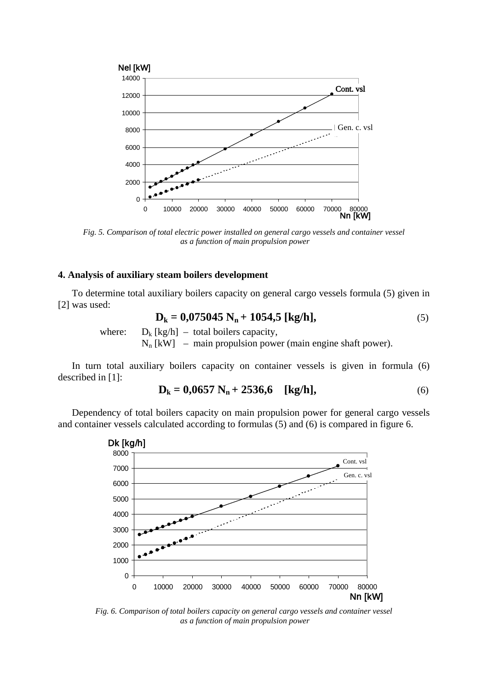

*Fig. 5. Comparison of total electric power installed on general cargo vessels and container vessel as a function of main propulsion power*

#### **4. Analysis of auxiliary steam boilers development**

To determine total auxiliary boilers capacity on general cargo vessels formula (5) given in [2] was used:

$$
D_k = 0.075045 N_n + 1054.5 [kg/h],
$$
\n(5)

where:  $D_k$  [kg/h] – total boilers capacity,

 $N_n$  [kW] – main propulsion power (main engine shaft power).

In turn total auxiliary boilers capacity on container vessels is given in formula (6) described in [1]:

$$
D_k = 0.0657 N_n + 2536.6 \quad [kg/h], \tag{6}
$$

Dependency of total boilers capacity on main propulsion power for general cargo vessels and container vessels calculated according to formulas (5) and (6) is compared in figure 6.



*Fig. 6. Comparison of total boilers capacity on general cargo vessels and container vessel as a function of main propulsion power*